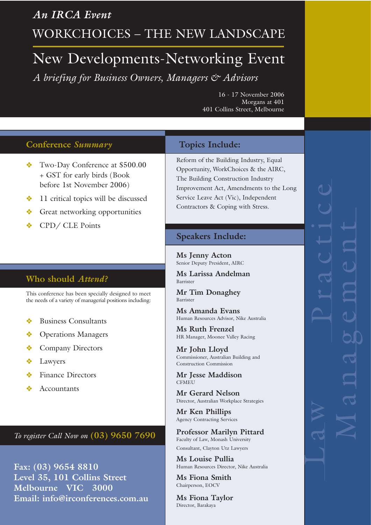*An IRCA Event* WORKCHOICES – THE NEW LANDSCAPE

# New Developments-Networking Event *A briefing for Business Owners, Managers & Advisors*

16 - 17 November 2006 Morgans at 401 401 Collins Street, Melbourne

## **Conference** *Summary*

- $\bullet$  Two-Day Conference at \$500.00 + GST for early birds (Book before 1st November 2006)
- $\triangleleft$  11 critical topics will be discussed
- $\triangleleft$  Great networking opportunities
- CPD/ CLE Points

# **Who should** *Attend?*

This conference has been specially designed to meet the needs of a variety of managerial positions including:

- $\triangleleft$  Business Consultants
- ◆ Operations Managers
- Company Directors
- $\triangleleft$  Lawyers
- Finance Directors
- Accountants

*To register Call Now on* **(03) 9650 7690**

**Fax: (03) 9654 8810 Level 35, 101 Collins Street Melbourne VIC 3000 Email: info@irconferences.com.au**

### **Topics Include:**

Reform of the Building Industry, Equal Opportunity, WorkChoices & the AIRC, The Building Construction Industry Improvement Act, Amendments to the Long Service Leave Act (Vic), Independent Contractors & Coping with Stress.

#### **Speakers Include:**

**Ms Jenny Acton**  Senior Deputy President, AIRC

**Ms Larissa Andelman** Barrister

**Mr Tim Donaghey**  Barrister

**Ms Amanda Evans**  Human Resources Advisor, Nike Australia

**Ms Ruth Frenzel**  HR Manager, Moonee Valley Racing

**Mr John Lloyd**  Commissioner, Australian Building and Construction Commission

**Mr Jesse Maddison CFMEU** 

**Mr Gerard Nelson**  Director, Australian Workplace Strategies

**Mr Ken Phillips**  Agency Contracting Services

**Professor Marilyn Pittard**  Faculty of Law, Monash University Consultant, Clayton Utz Lawyers

**Ms Louise Pullia**  Human Resources Director, Nike Australia

**Ms Fiona Smith**  Chairperson, EOCV

**Ms Fiona Taylor**  Director, Barakaya